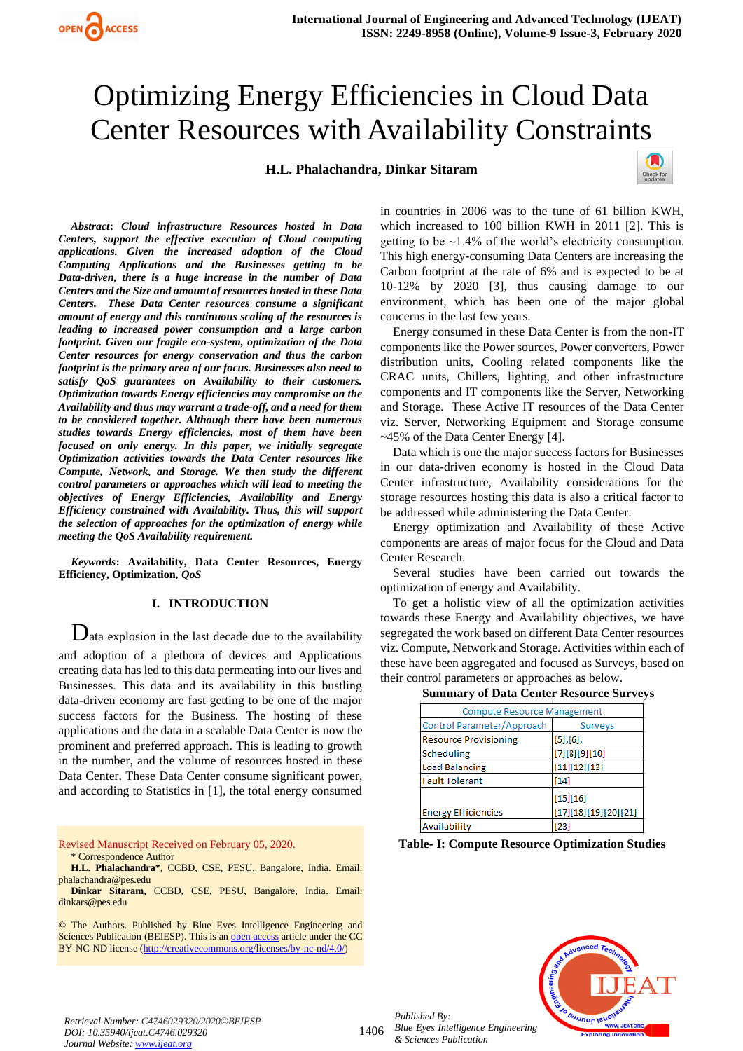**H.L. Phalachandra, Dinkar Sitaram**



*Abstract***:** *Cloud infrastructure Resources hosted in Data Centers, support the effective execution of Cloud computing applications. Given the increased adoption of the Cloud Computing Applications and the Businesses getting to be Data-driven, there is a huge increase in the number of Data Centers and the Size and amount of resources hosted in these Data Centers. These Data Center resources consume a significant amount of energy and this continuous scaling of the resources is leading to increased power consumption and a large carbon footprint. Given our fragile eco-system, optimization of the Data Center resources for energy conservation and thus the carbon footprint is the primary area of our focus. Businesses also need to satisfy QoS guarantees on Availability to their customers. Optimization towards Energy efficiencies may compromise on the Availability and thus may warrant a trade-off, and a need for them to be considered together. Although there have been numerous studies towards Energy efficiencies, most of them have been focused on only energy. In this paper, we initially segregate Optimization activities towards the Data Center resources like Compute, Network, and Storage. We then study the different control parameters or approaches which will lead to meeting the objectives of Energy Efficiencies, Availability and Energy Efficiency constrained with Availability. Thus, this will support the selection of approaches for the optimization of energy while meeting the QoS Availability requirement.*

*Keywords***: Availability, Data Center Resources, Energy Efficiency, Optimization***, QoS*

#### **I. INTRODUCTION**

 $\mathbf{D}_{\text{ata explosion in the last decade due to the availability}$ and adoption of a plethora of devices and Applications creating data has led to this data permeating into our lives and Businesses. This data and its availability in this bustling data-driven economy are fast getting to be one of the major success factors for the Business. The hosting of these applications and the data in a scalable Data Center is now the prominent and preferred approach. This is leading to growth in the number, and the volume of resources hosted in these Data Center. These Data Center consume significant power, and according to Statistics in [1], the total energy consumed

Revised Manuscript Received on February 05, 2020. \* Correspondence Author

© The Authors. Published by Blue Eyes Intelligence Engineering and Sciences Publication (BEIESP). This is a[n open access](https://www.openaccess.nl/en/open-publications) article under the CC BY-NC-ND license [\(http://creativecommons.org/licenses/by-nc-nd/4.0/\)](http://creativecommons.org/licenses/by-nc-nd/4.0/)

in countries in 2006 was to the tune of 61 billion KWH, which increased to 100 billion KWH in 2011 [2]. This is getting to be  $\sim$ 1.4% of the world's electricity consumption. This high energy-consuming Data Centers are increasing the Carbon footprint at the rate of 6% and is expected to be at 10-12% by 2020 [3], thus causing damage to our environment, which has been one of the major global concerns in the last few years.

Energy consumed in these Data Center is from the non-IT components like the Power sources, Power converters, Power distribution units, Cooling related components like the CRAC units, Chillers, lighting, and other infrastructure components and IT components like the Server, Networking and Storage. These Active IT resources of the Data Center viz. Server, Networking Equipment and Storage consume ~45% of the Data Center Energy [4].

Data which is one the major success factors for Businesses in our data-driven economy is hosted in the Cloud Data Center infrastructure, Availability considerations for the storage resources hosting this data is also a critical factor to be addressed while administering the Data Center.

Energy optimization and Availability of these Active components are areas of major focus for the Cloud and Data Center Research.

Several studies have been carried out towards the optimization of energy and Availability.

To get a holistic view of all the optimization activities towards these Energy and Availability objectives, we have segregated the work based on different Data Center resources viz. Compute, Network and Storage. Activities within each of these have been aggregated and focused as Surveys, based on their control parameters or approaches as below.

| <b>Summary of Data Center Resource Surveys</b> |  |  |  |
|------------------------------------------------|--|--|--|
|------------------------------------------------|--|--|--|

| <b>Compute Resource Management</b> |                      |  |  |  |
|------------------------------------|----------------------|--|--|--|
| Control Parameter/Approach         | Surveys              |  |  |  |
| <b>Resource Provisioning</b>       | $[5]$ , $[6]$ ,      |  |  |  |
| <b>Scheduling</b>                  | [7][8][9][10]        |  |  |  |
| <b>Load Balancing</b>              | [11][12][13]         |  |  |  |
| <b>Fault Tolerant</b>              | [14]                 |  |  |  |
|                                    | [15][16]             |  |  |  |
| <b>Energy Efficiencies</b>         | [17][18][19][20][21] |  |  |  |
| Availability                       | [23]                 |  |  |  |

**Table- I: Compute Resource Optimization Studies**



**H.L. Phalachandra\*,** CCBD, CSE, PESU, Bangalore, India. Email: [phalachandra@pes.edu](mailto:phalachandra@pes.edu)

**Dinkar Sitaram,** CCBD, CSE, PESU, Bangalore, India. Email: [dinkars@pes.edu](mailto:dinkars@pes.edu)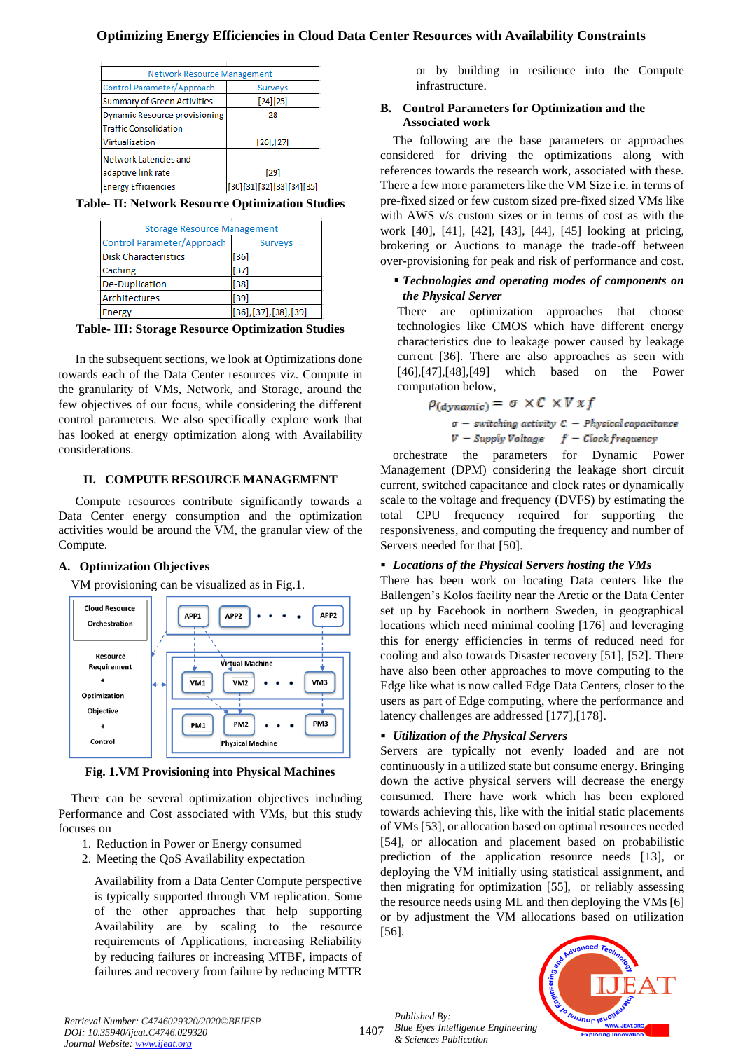| <b>Network Resource Management</b>   |                          |  |  |  |
|--------------------------------------|--------------------------|--|--|--|
| Control Parameter/Approach           | Surveys                  |  |  |  |
| Summary of Green Activities          | $[24][25]$               |  |  |  |
| <b>Dynamic Resource provisioning</b> | 28                       |  |  |  |
| <b>Traffic Consolidation</b>         |                          |  |  |  |
| Virtualization                       | $[26]$ , [27]            |  |  |  |
| Network Latencies and                |                          |  |  |  |
| adaptive link rate                   | [29]                     |  |  |  |
| <b>Energy Efficiencies</b>           | [30][31][32][33][34][35] |  |  |  |

**Table- II: Network Resource Optimization Studies**

| <b>Storage Resource Management</b> |                     |  |  |
|------------------------------------|---------------------|--|--|
| Control Parameter/Approach         | Surveys             |  |  |
| <b>Disk Characteristics</b>        | $[36]$              |  |  |
| Caching                            | $[37]$              |  |  |
| De-Duplication                     | $[38]$              |  |  |
| Architectures                      | $[39]$              |  |  |
| Energy                             | [36],[37],[38],[39] |  |  |

**Table- III: Storage Resource Optimization Studies**

In the subsequent sections, we look at Optimizations done towards each of the Data Center resources viz. Compute in the granularity of VMs, Network, and Storage, around the few objectives of our focus, while considering the different control parameters. We also specifically explore work that has looked at energy optimization along with Availability considerations.

#### **II. COMPUTE RESOURCE MANAGEMENT**

Compute resources contribute significantly towards a Data Center energy consumption and the optimization activities would be around the VM, the granular view of the Compute.

#### **A. Optimization Objectives**

VM provisioning can be visualized as in Fig.1.



**Fig. 1.VM Provisioning into Physical Machines**

There can be several optimization objectives including Performance and Cost associated with VMs, but this study focuses on

- 1. Reduction in Power or Energy consumed
- 2. Meeting the QoS Availability expectation

Availability from a Data Center Compute perspective is typically supported through VM replication. Some of the other approaches that help supporting Availability are by scaling to the resource requirements of Applications, increasing Reliability by reducing failures or increasing MTBF, impacts of failures and recovery from failure by reducing MTTR

or by building in resilience into the Compute infrastructure.

#### **B. Control Parameters for Optimization and the Associated work**

The following are the base parameters or approaches considered for driving the optimizations along with references towards the research work, associated with these. There a few more parameters like the VM Size i.e. in terms of pre-fixed sized or few custom sized pre-fixed sized VMs like with AWS v/s custom sizes or in terms of cost as with the work [40], [41], [42], [43], [44], [45] looking at pricing, brokering or Auctions to manage the trade-off between over-provisioning for peak and risk of performance and cost.

#### ▪ *Technologies and operating modes of components on the Physical Server*

There are optimization approaches that choose technologies like CMOS which have different energy characteristics due to leakage power caused by leakage current [36]. There are also approaches as seen with [46],[47],[48],[49] which based on the Power computation below,

$$
\rho_{(dynamic)} = \sigma \times C \times V \times f
$$
\n
$$
\sigma - \text{switching activity } C - \text{Physical capacitance}
$$
\n
$$
V - \text{Supply Voltage} \quad f - \text{Clock frequency}
$$

orchestrate the parameters for Dynamic Power Management (DPM) considering the leakage short circuit current, switched capacitance and clock rates or dynamically scale to the voltage and frequency (DVFS) by estimating the total CPU frequency required for supporting the responsiveness, and computing the frequency and number of Servers needed for that [50].

#### ▪ *Locations of the Physical Servers hosting the VMs*

There has been work on locating Data centers like the Ballengen's Kolos facility near the Arctic or the Data Center set up by Facebook in northern Sweden, in geographical locations which need minimal cooling [176] and leveraging this for energy efficiencies in terms of reduced need for cooling and also towards Disaster recovery [51], [52]. There have also been other approaches to move computing to the Edge like what is now called Edge Data Centers, closer to the users as part of Edge computing, where the performance and latency challenges are addressed [177],[178].

#### ▪ *Utilization of the Physical Servers*

Servers are typically not evenly loaded and are not continuously in a utilized state but consume energy. Bringing down the active physical servers will decrease the energy consumed. There have work which has been explored towards achieving this, like with the initial static placements of VMs [53], or allocation based on optimal resources needed [54], or allocation and placement based on probabilistic prediction of the application resource needs [13], or deploying the VM initially using statistical assignment, and then migrating for optimization [55], or reliably assessing the resource needs using ML and then deploying the VMs [6] or by adjustment the VM allocations based on utilization [56].

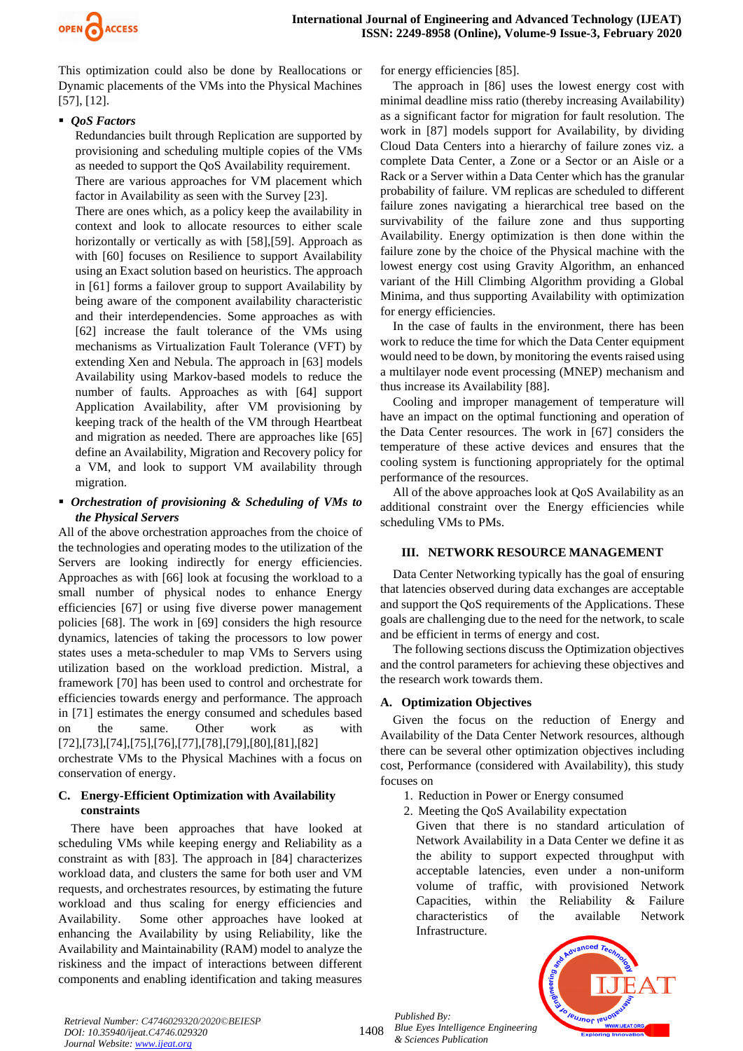

This optimization could also be done by Reallocations or Dynamic placements of the VMs into the Physical Machines [57], [12].

## ■ *QoS Factors*

Redundancies built through Replication are supported by provisioning and scheduling multiple copies of the VMs as needed to support the QoS Availability requirement. There are various approaches for VM placement which factor in Availability as seen with the Survey [23].

There are ones which, as a policy keep the availability in context and look to allocate resources to either scale horizontally or vertically as with [58],[59]. Approach as with [60] focuses on Resilience to support Availability using an Exact solution based on heuristics. The approach in [61] forms a failover group to support Availability by being aware of the component availability characteristic and their interdependencies. Some approaches as with [62] increase the fault tolerance of the VMs using mechanisms as Virtualization Fault Tolerance (VFT) by extending Xen and Nebula. The approach in [63] models Availability using Markov-based models to reduce the number of faults. Approaches as with [64] support Application Availability, after VM provisioning by keeping track of the health of the VM through Heartbeat and migration as needed. There are approaches like [65] define an Availability, Migration and Recovery policy for a VM, and look to support VM availability through migration.

## ▪ *Orchestration of provisioning & Scheduling of VMs to the Physical Servers*

All of the above orchestration approaches from the choice of the technologies and operating modes to the utilization of the Servers are looking indirectly for energy efficiencies. Approaches as with [66] look at focusing the workload to a small number of physical nodes to enhance Energy efficiencies [67] or using five diverse power management policies [68]. The work in [69] considers the high resource dynamics, latencies of taking the processors to low power states uses a meta-scheduler to map VMs to Servers using utilization based on the workload prediction. Mistral, a framework [70] has been used to control and orchestrate for efficiencies towards energy and performance. The approach in [71] estimates the energy consumed and schedules based on the same. Other work as with [72],[73],[74],[75],[76],[77],[78],[79],[80],[81],[82]

orchestrate VMs to the Physical Machines with a focus on conservation of energy.

## **C. Energy-Efficient Optimization with Availability constraints**

There have been approaches that have looked at scheduling VMs while keeping energy and Reliability as a constraint as with [83]. The approach in [84] characterizes workload data, and clusters the same for both user and VM requests, and orchestrates resources, by estimating the future workload and thus scaling for energy efficiencies and Availability. Some other approaches have looked at enhancing the Availability by using Reliability, like the Availability and Maintainability (RAM) model to analyze the riskiness and the impact of interactions between different components and enabling identification and taking measures for energy efficiencies [85].

The approach in [86] uses the lowest energy cost with minimal deadline miss ratio (thereby increasing Availability) as a significant factor for migration for fault resolution. The work in [87] models support for Availability, by dividing Cloud Data Centers into a hierarchy of failure zones viz. a complete Data Center, a Zone or a Sector or an Aisle or a Rack or a Server within a Data Center which has the granular probability of failure. VM replicas are scheduled to different failure zones navigating a hierarchical tree based on the survivability of the failure zone and thus supporting Availability. Energy optimization is then done within the failure zone by the choice of the Physical machine with the lowest energy cost using Gravity Algorithm, an enhanced variant of the Hill Climbing Algorithm providing a Global Minima, and thus supporting Availability with optimization for energy efficiencies.

In the case of faults in the environment, there has been work to reduce the time for which the Data Center equipment would need to be down, by monitoring the events raised using a multilayer node event processing (MNEP) mechanism and thus increase its Availability [88].

Cooling and improper management of temperature will have an impact on the optimal functioning and operation of the Data Center resources. The work in [67] considers the temperature of these active devices and ensures that the cooling system is functioning appropriately for the optimal performance of the resources.

All of the above approaches look at QoS Availability as an additional constraint over the Energy efficiencies while scheduling VMs to PMs.

## **III. NETWORK RESOURCE MANAGEMENT**

Data Center Networking typically has the goal of ensuring that latencies observed during data exchanges are acceptable and support the QoS requirements of the Applications. These goals are challenging due to the need for the network, to scale and be efficient in terms of energy and cost.

The following sections discuss the Optimization objectives and the control parameters for achieving these objectives and the research work towards them.

## **A. Optimization Objectives**

Given the focus on the reduction of Energy and Availability of the Data Center Network resources, although there can be several other optimization objectives including cost, Performance (considered with Availability), this study focuses on

- 1. Reduction in Power or Energy consumed
- 2. Meeting the QoS Availability expectation

Given that there is no standard articulation of Network Availability in a Data Center we define it as the ability to support expected throughput with acceptable latencies, even under a non-uniform volume of traffic, with provisioned Network Capacities, within the Reliability & Failure characteristics of the available Network Infrastructure.

*Published By: Blue Eyes Intelligence Engineering & Sciences Publication* 



*Retrieval Number: C4746029320/2020©BEIESP DOI: 10.35940/ijeat.C4746.029320 Journal Website[: www.ijeat.org](http://www.ijeat.org/)*

1408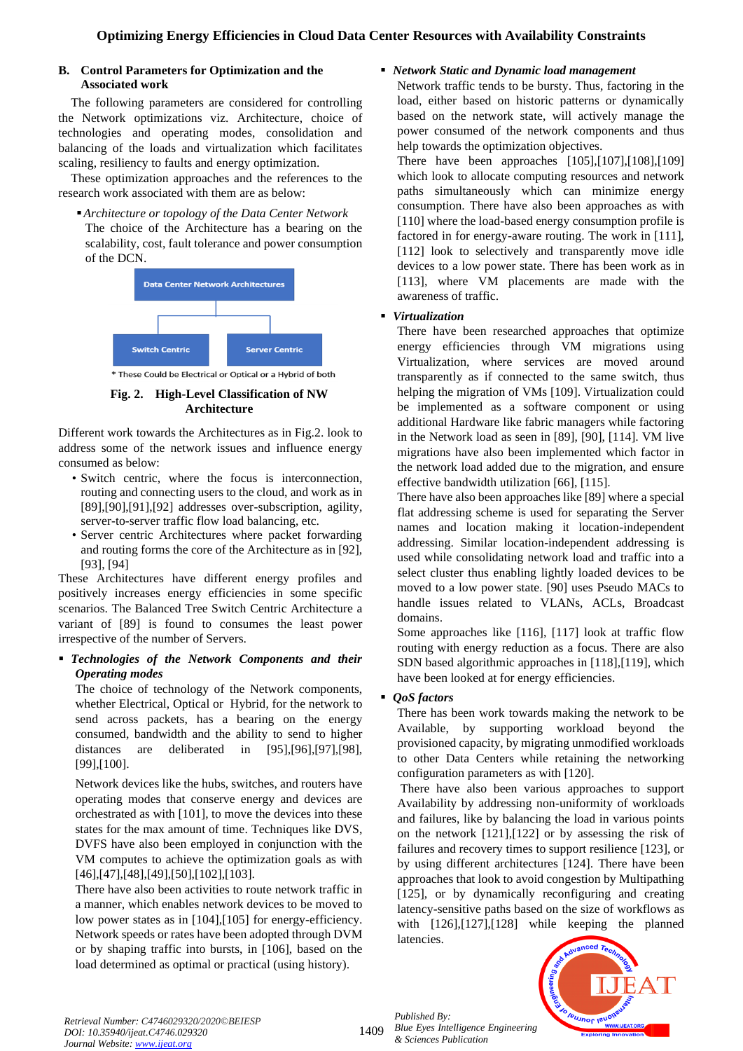## **B. Control Parameters for Optimization and the Associated work**

The following parameters are considered for controlling the Network optimizations viz. Architecture, choice of technologies and operating modes, consolidation and balancing of the loads and virtualization which facilitates scaling, resiliency to faults and energy optimization.

These optimization approaches and the references to the research work associated with them are as below:

#### ▪*Architecture or topology of the Data Center Network*

The choice of the Architecture has a bearing on the scalability, cost, fault tolerance and power consumption of the DCN.



\* These Could be Electrical or Optical or a Hybrid of both

## **Fig. 2. High-Level Classification of NW Architecture**

Different work towards the Architectures as in Fig.2. look to address some of the network issues and influence energy consumed as below:

- Switch centric, where the focus is interconnection, routing and connecting users to the cloud, and work as in [89],[90],[91],[92] addresses over-subscription, agility, server-to-server traffic flow load balancing, etc.
- Server centric Architectures where packet forwarding and routing forms the core of the Architecture as in [92], [93], [94]

These Architectures have different energy profiles and positively increases energy efficiencies in some specific scenarios. The Balanced Tree Switch Centric Architecture a variant of [89] is found to consumes the least power irrespective of the number of Servers.

## ▪ *Technologies of the Network Components and their Operating modes*

The choice of technology of the Network components, whether Electrical, Optical or Hybrid, for the network to send across packets, has a bearing on the energy consumed, bandwidth and the ability to send to higher distances are deliberated in [95],[96],[97],[98], [99],[100].

Network devices like the hubs, switches, and routers have operating modes that conserve energy and devices are orchestrated as with [101], to move the devices into these states for the max amount of time. Techniques like DVS, DVFS have also been employed in conjunction with the VM computes to achieve the optimization goals as with [46],[47],[48],[49],[50],[102],[103].

There have also been activities to route network traffic in a manner, which enables network devices to be moved to low power states as in [104], [105] for energy-efficiency. Network speeds or rates have been adopted through DVM or by shaping traffic into bursts, in [106], based on the load determined as optimal or practical (using history).

# ▪ *Network Static and Dynamic load management*

Network traffic tends to be bursty. Thus, factoring in the load, either based on historic patterns or dynamically based on the network state, will actively manage the power consumed of the network components and thus help towards the optimization objectives.

There have been approaches [105],[107],[108],[109] which look to allocate computing resources and network paths simultaneously which can minimize energy consumption. There have also been approaches as with [110] where the load-based energy consumption profile is factored in for energy-aware routing. The work in [111], [112] look to selectively and transparently move idle devices to a low power state. There has been work as in [113], where VM placements are made with the awareness of traffic.

# ▪ *Virtualization*

There have been researched approaches that optimize energy efficiencies through VM migrations using Virtualization, where services are moved around transparently as if connected to the same switch, thus helping the migration of VMs [109]. Virtualization could be implemented as a software component or using additional Hardware like fabric managers while factoring in the Network load as seen in [89], [90], [114]. VM live migrations have also been implemented which factor in the network load added due to the migration, and ensure effective bandwidth utilization [66], [115].

There have also been approaches like [89] where a special flat addressing scheme is used for separating the Server names and location making it location-independent addressing. Similar location-independent addressing is used while consolidating network load and traffic into a select cluster thus enabling lightly loaded devices to be moved to a low power state. [90] uses Pseudo MACs to handle issues related to VLANs, ACLs, Broadcast domains.

Some approaches like [116], [117] look at traffic flow routing with energy reduction as a focus. There are also SDN based algorithmic approaches in [118],[119], which have been looked at for energy efficiencies.

# **QoS** factors

There has been work towards making the network to be Available, by supporting workload beyond the provisioned capacity, by migrating unmodified workloads to other Data Centers while retaining the networking configuration parameters as with [120].

There have also been various approaches to support Availability by addressing non-uniformity of workloads and failures, like by balancing the load in various points on the network [121],[122] or by assessing the risk of failures and recovery times to support resilience [123], or by using different architectures [124]. There have been approaches that look to avoid congestion by Multipathing [125], or by dynamically reconfiguring and creating latency-sensitive paths based on the size of workflows as with [126], [127], [128] while keeping the planned latencies.



1409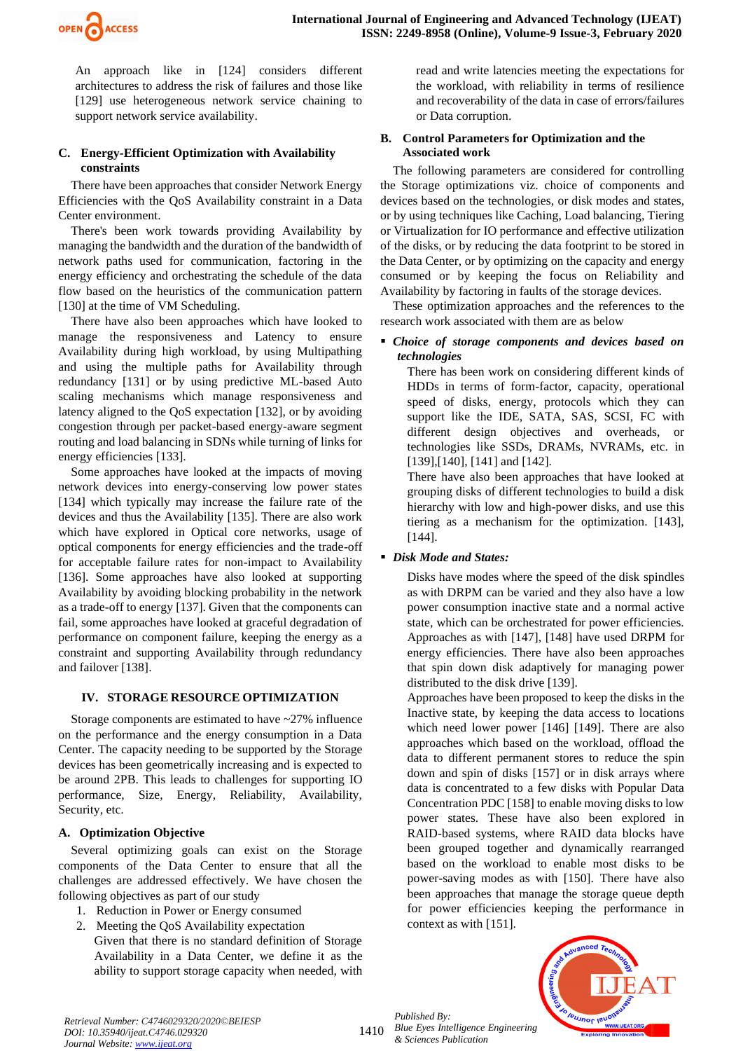

An approach like in [124] considers different architectures to address the risk of failures and those like [129] use heterogeneous network service chaining to support network service availability.

## **C. Energy-Efficient Optimization with Availability constraints**

There have been approaches that consider Network Energy Efficiencies with the QoS Availability constraint in a Data Center environment.

There's been work towards providing Availability by managing the bandwidth and the duration of the bandwidth of network paths used for communication, factoring in the energy efficiency and orchestrating the schedule of the data flow based on the heuristics of the communication pattern [130] at the time of VM Scheduling.

There have also been approaches which have looked to manage the responsiveness and Latency to ensure Availability during high workload, by using Multipathing and using the multiple paths for Availability through redundancy [131] or by using predictive ML-based Auto scaling mechanisms which manage responsiveness and latency aligned to the QoS expectation [132], or by avoiding congestion through per packet-based energy-aware segment routing and load balancing in SDNs while turning of links for energy efficiencies [133].

Some approaches have looked at the impacts of moving network devices into energy-conserving low power states [134] which typically may increase the failure rate of the devices and thus the Availability [135]. There are also work which have explored in Optical core networks, usage of optical components for energy efficiencies and the trade-off for acceptable failure rates for non-impact to Availability [136]. Some approaches have also looked at supporting Availability by avoiding blocking probability in the network as a trade-off to energy [137]. Given that the components can fail, some approaches have looked at graceful degradation of performance on component failure, keeping the energy as a constraint and supporting Availability through redundancy and failover [138].

#### **IV. STORAGE RESOURCE OPTIMIZATION**

Storage components are estimated to have ~27% influence on the performance and the energy consumption in a Data Center. The capacity needing to be supported by the Storage devices has been geometrically increasing and is expected to be around 2PB. This leads to challenges for supporting IO performance, Size, Energy, Reliability, Availability, Security, etc.

## **A. Optimization Objective**

Several optimizing goals can exist on the Storage components of the Data Center to ensure that all the challenges are addressed effectively. We have chosen the following objectives as part of our study

- 1. Reduction in Power or Energy consumed
- 2. Meeting the QoS Availability expectation Given that there is no standard definition of Storage Availability in a Data Center, we define it as the ability to support storage capacity when needed, with

read and write latencies meeting the expectations for the workload, with reliability in terms of resilience and recoverability of the data in case of errors/failures or Data corruption.

#### **B. Control Parameters for Optimization and the Associated work**

The following parameters are considered for controlling the Storage optimizations viz. choice of components and devices based on the technologies, or disk modes and states, or by using techniques like Caching, Load balancing, Tiering or Virtualization for IO performance and effective utilization of the disks, or by reducing the data footprint to be stored in the Data Center, or by optimizing on the capacity and energy consumed or by keeping the focus on Reliability and Availability by factoring in faults of the storage devices.

These optimization approaches and the references to the research work associated with them are as below

## ▪ *Choice of storage components and devices based on technologies*

There has been work on considering different kinds of HDDs in terms of form-factor, capacity, operational speed of disks, energy, protocols which they can support like the IDE, SATA, SAS, SCSI, FC with different design objectives and overheads, or technologies like SSDs, DRAMs, NVRAMs, etc. in [139], [140], [141] and [142].

There have also been approaches that have looked at grouping disks of different technologies to build a disk hierarchy with low and high-power disks, and use this tiering as a mechanism for the optimization. [143], [144].

## ▪ *Disk Mode and States:*

Disks have modes where the speed of the disk spindles as with DRPM can be varied and they also have a low power consumption inactive state and a normal active state, which can be orchestrated for power efficiencies. Approaches as with [147], [148] have used DRPM for energy efficiencies. There have also been approaches that spin down disk adaptively for managing power distributed to the disk drive [139].

Approaches have been proposed to keep the disks in the Inactive state, by keeping the data access to locations which need lower power [146] [149]. There are also approaches which based on the workload, offload the data to different permanent stores to reduce the spin down and spin of disks [157] or in disk arrays where data is concentrated to a few disks with Popular Data Concentration PDC [158] to enable moving disks to low power states. These have also been explored in RAID-based systems, where RAID data blocks have been grouped together and dynamically rearranged based on the workload to enable most disks to be power-saving modes as with [150]. There have also been approaches that manage the storage queue depth for power efficiencies keeping the performance in context as with [151].

1410 *Published By: Blue Eyes Intelligence Engineering & Sciences Publication* 



*Retrieval Number: C4746029320/2020©BEIESP DOI: 10.35940/ijeat.C4746.029320 Journal Website[: www.ijeat.org](http://www.ijeat.org/)*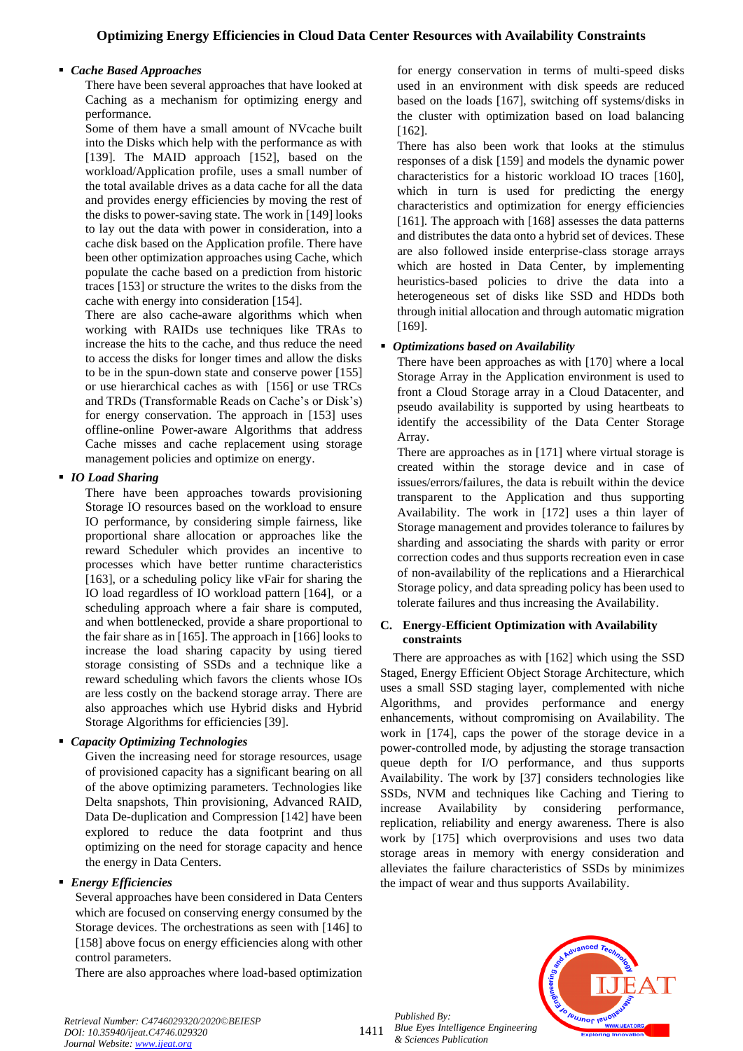## ▪ *Cache Based Approaches*

There have been several approaches that have looked at Caching as a mechanism for optimizing energy and performance.

Some of them have a small amount of NVcache built into the Disks which help with the performance as with [139]. The MAID approach [152], based on the workload/Application profile, uses a small number of the total available drives as a data cache for all the data and provides energy efficiencies by moving the rest of the disks to power-saving state. The work in [149] looks to lay out the data with power in consideration, into a cache disk based on the Application profile. There have been other optimization approaches using Cache, which populate the cache based on a prediction from historic traces [153] or structure the writes to the disks from the cache with energy into consideration [154].

There are also cache-aware algorithms which when working with RAIDs use techniques like TRAs to increase the hits to the cache, and thus reduce the need to access the disks for longer times and allow the disks to be in the spun-down state and conserve power [155] or use hierarchical caches as with [156] or use TRCs and TRDs (Transformable Reads on Cache's or Disk's) for energy conservation. The approach in [153] uses offline-online Power-aware Algorithms that address Cache misses and cache replacement using storage management policies and optimize on energy.

## ▪ *IO Load Sharing*

There have been approaches towards provisioning Storage IO resources based on the workload to ensure IO performance, by considering simple fairness, like proportional share allocation or approaches like the reward Scheduler which provides an incentive to processes which have better runtime characteristics [163], or a scheduling policy like vFair for sharing the IO load regardless of IO workload pattern [164], or a scheduling approach where a fair share is computed, and when bottlenecked, provide a share proportional to the fair share as in [165]. The approach in [166] looks to increase the load sharing capacity by using tiered storage consisting of SSDs and a technique like a reward scheduling which favors the clients whose IOs are less costly on the backend storage array. There are also approaches which use Hybrid disks and Hybrid Storage Algorithms for efficiencies [39].

## ▪ *Capacity Optimizing Technologies*

Given the increasing need for storage resources, usage of provisioned capacity has a significant bearing on all of the above optimizing parameters. Technologies like Delta snapshots, Thin provisioning, Advanced RAID, Data De-duplication and Compression [142] have been explored to reduce the data footprint and thus optimizing on the need for storage capacity and hence the energy in Data Centers.

## ▪ *Energy Efficiencies*

Several approaches have been considered in Data Centers which are focused on conserving energy consumed by the Storage devices. The orchestrations as seen with [146] to [158] above focus on energy efficiencies along with other control parameters.

There are also approaches where load-based optimization

for energy conservation in terms of multi-speed disks used in an environment with disk speeds are reduced based on the loads [167], switching off systems/disks in the cluster with optimization based on load balancing [162].

There has also been work that looks at the stimulus responses of a disk [159] and models the dynamic power characteristics for a historic workload IO traces [160], which in turn is used for predicting the energy characteristics and optimization for energy efficiencies [161]. The approach with [168] assesses the data patterns and distributes the data onto a hybrid set of devices. These are also followed inside enterprise-class storage arrays which are hosted in Data Center, by implementing heuristics-based policies to drive the data into a heterogeneous set of disks like SSD and HDDs both through initial allocation and through automatic migration [169].

# ▪ *Optimizations based on Availability*

There have been approaches as with [170] where a local Storage Array in the Application environment is used to front a Cloud Storage array in a Cloud Datacenter, and pseudo availability is supported by using heartbeats to identify the accessibility of the Data Center Storage Array.

There are approaches as in [171] where virtual storage is created within the storage device and in case of issues/errors/failures, the data is rebuilt within the device transparent to the Application and thus supporting Availability. The work in [172] uses a thin layer of Storage management and provides tolerance to failures by sharding and associating the shards with parity or error correction codes and thus supports recreation even in case of non-availability of the replications and a Hierarchical Storage policy, and data spreading policy has been used to tolerate failures and thus increasing the Availability.

## **C. Energy-Efficient Optimization with Availability constraints**

There are approaches as with [162] which using the SSD Staged, Energy Efficient Object Storage Architecture, which uses a small SSD staging layer, complemented with niche Algorithms, and provides performance and energy enhancements, without compromising on Availability. The work in [174], caps the power of the storage device in a power-controlled mode, by adjusting the storage transaction queue depth for I/O performance, and thus supports Availability. The work by [37] considers technologies like SSDs, NVM and techniques like Caching and Tiering to increase Availability by considering performance, replication, reliability and energy awareness. There is also work by [175] which overprovisions and uses two data storage areas in memory with energy consideration and alleviates the failure characteristics of SSDs by minimizes the impact of wear and thus supports Availability.

*Published By: Blue Eyes Intelligence Engineering & Sciences Publication* 



*Retrieval Number: C4746029320/2020©BEIESP DOI: 10.35940/ijeat.C4746.029320 Journal Website[: www.ijeat.org](http://www.ijeat.org/)*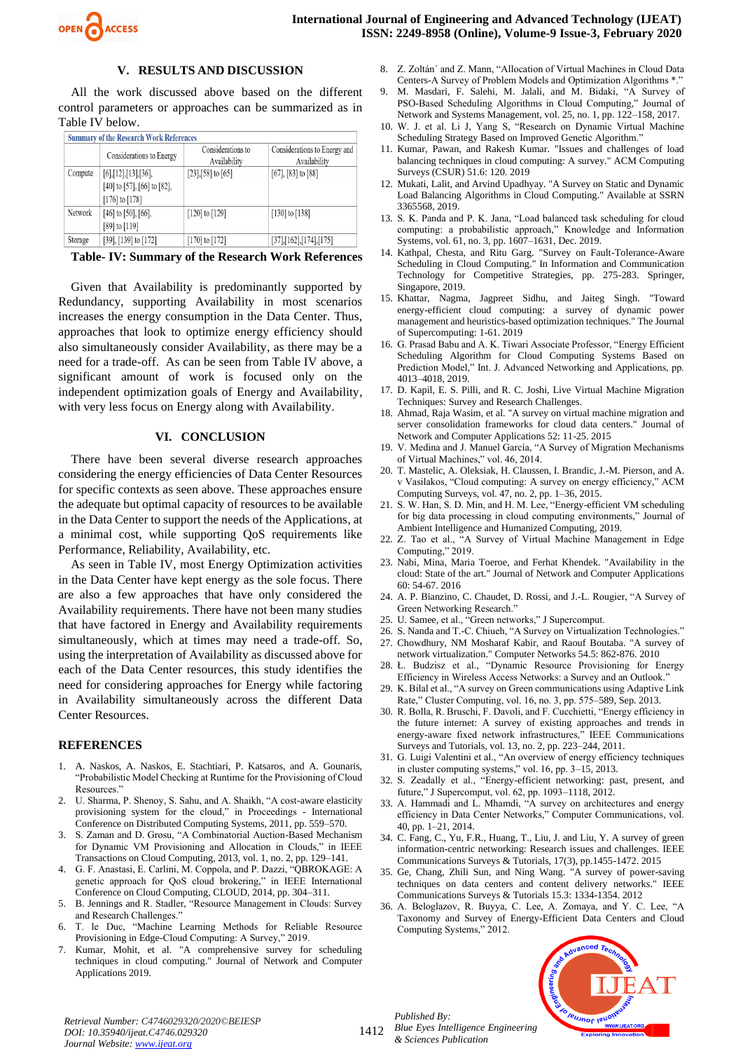

#### **V. RESULTS AND DISCUSSION**

All the work discussed above based on the different control parameters or approaches can be summarized as in Table IV below.

| <b>Summary of the Research Work References</b> |                                                                                          |                                   |                                              |  |  |  |
|------------------------------------------------|------------------------------------------------------------------------------------------|-----------------------------------|----------------------------------------------|--|--|--|
|                                                | Considerations to Energy                                                                 | Considerations to<br>Availability | Considerations to Energy and<br>Availability |  |  |  |
| Compute                                        | $[6]$ , [12], [13], [36],<br>$[40]$ to $[57]$ , $[66]$ to $[82]$ ,<br>$[176]$ to $[178]$ | $[23]$ , [58] to [65]             | $[67]$ , $[83]$ to $[88]$                    |  |  |  |
| Network                                        | $[46]$ to $[50]$ , $[66]$ ,<br>$[89]$ to $[119]$                                         | $[120]$ to $[129]$                | $[130]$ to $[138]$                           |  |  |  |
| Storage                                        | $[39]$ , $[139]$ to $[172]$                                                              | $[170]$ to $[172]$                | [37],[162],[174],[175]                       |  |  |  |

 **Table- IV: Summary of the Research Work References**

Given that Availability is predominantly supported by Redundancy, supporting Availability in most scenarios increases the energy consumption in the Data Center. Thus, approaches that look to optimize energy efficiency should also simultaneously consider Availability, as there may be a need for a trade-off. As can be seen from Table IV above, a significant amount of work is focused only on the independent optimization goals of Energy and Availability, with very less focus on Energy along with Availability.

#### **VI. CONCLUSION**

There have been several diverse research approaches considering the energy efficiencies of Data Center Resources for specific contexts as seen above. These approaches ensure the adequate but optimal capacity of resources to be available in the Data Center to support the needs of the Applications, at a minimal cost, while supporting QoS requirements like Performance, Reliability, Availability, etc.

As seen in Table IV, most Energy Optimization activities in the Data Center have kept energy as the sole focus. There are also a few approaches that have only considered the Availability requirements. There have not been many studies that have factored in Energy and Availability requirements simultaneously, which at times may need a trade-off. So, using the interpretation of Availability as discussed above for each of the Data Center resources, this study identifies the need for considering approaches for Energy while factoring in Availability simultaneously across the different Data Center Resources.

#### **REFERENCES**

- 1. A. Naskos, A. Naskos, E. Stachtiari, P. Katsaros, and A. Gounaris, "Probabilistic Model Checking at Runtime for the Provisioning of Cloud Resources."
- 2. U. Sharma, P. Shenoy, S. Sahu, and A. Shaikh, "A cost-aware elasticity provisioning system for the cloud," in Proceedings - International Conference on Distributed Computing Systems, 2011, pp. 559–570.
- 3. S. Zaman and D. Grosu, "A Combinatorial Auction-Based Mechanism for Dynamic VM Provisioning and Allocation in Clouds," in IEEE Transactions on Cloud Computing, 2013, vol. 1, no. 2, pp. 129–141.
- 4. G. F. Anastasi, E. Carlini, M. Coppola, and P. Dazzi, "QBROKAGE: A genetic approach for QoS cloud brokering," in IEEE International Conference on Cloud Computing, CLOUD, 2014, pp. 304–311.
- 5. B. Jennings and R. Stadler, "Resource Management in Clouds: Survey and Research Challenges."
- 6. T. le Duc, "Machine Learning Methods for Reliable Resource Provisioning in Edge-Cloud Computing: A Survey," 2019.
- 7. Kumar, Mohit, et al. "A comprehensive survey for scheduling techniques in cloud computing." Journal of Network and Computer Applications 2019.
- 8. Z. Zoltán´ and Z. Mann, "Allocation of Virtual Machines in Cloud Data Centers-A Survey of Problem Models and Optimization Algorithms \*.'
- 9. M. Masdari, F. Salehi, M. Jalali, and M. Bidaki, "A Survey of PSO-Based Scheduling Algorithms in Cloud Computing," Journal of Network and Systems Management, vol. 25, no. 1, pp. 122–158, 2017.
- 10. W. J. et al. Li J, Yang S, "Research on Dynamic Virtual Machine Scheduling Strategy Based on Improved Genetic Algorithm."
- 11. Kumar, Pawan, and Rakesh Kumar. "Issues and challenges of load balancing techniques in cloud computing: A survey." ACM Computing Surveys (CSUR) 51.6: 120. 2019
- 12. Mukati, Lalit, and Arvind Upadhyay. "A Survey on Static and Dynamic Load Balancing Algorithms in Cloud Computing." Available at SSRN 3365568, 2019.
- 13. S. K. Panda and P. K. Jana, "Load balanced task scheduling for cloud computing: a probabilistic approach," Knowledge and Information Systems, vol. 61, no. 3, pp. 1607–1631, Dec. 2019.
- 14. Kathpal, Chesta, and Ritu Garg. "Survey on Fault-Tolerance-Aware Scheduling in Cloud Computing." In Information and Communication Technology for Competitive Strategies, pp. 275-283. Springer, Singapore, 2019.
- 15. Khattar, Nagma, Jagpreet Sidhu, and Jaiteg Singh. "Toward energy-efficient cloud computing: a survey of dynamic power management and heuristics-based optimization techniques." The Journal of Supercomputing: 1-61. 2019
- 16. G. Prasad Babu and A. K. Tiwari Associate Professor, "Energy Efficient Scheduling Algorithm for Cloud Computing Systems Based on Prediction Model," Int. J. Advanced Networking and Applications, pp. 4013–4018, 2019.
- 17. D. Kapil, E. S. Pilli, and R. C. Joshi, Live Virtual Machine Migration Techniques: Survey and Research Challenges.
- 18. Ahmad, Raja Wasim, et al. "A survey on virtual machine migration and server consolidation frameworks for cloud data centers." Journal of Network and Computer Applications 52: 11-25. 2015
- 19. V. Medina and J. Manuel García, "A Survey of Migration Mechanisms of Virtual Machines," vol. 46, 2014.
- 20. T. Mastelic, A. Oleksiak, H. Claussen, I. Brandic, J.-M. Pierson, and A. v Vasilakos, "Cloud computing: A survey on energy efficiency," ACM Computing Surveys, vol. 47, no. 2, pp. 1–36, 2015.
- 21. S. W. Han, S. D. Min, and H. M. Lee, "Energy-efficient VM scheduling for big data processing in cloud computing environments," Journal of Ambient Intelligence and Humanized Computing, 2019.
- 22. Z. Tao et al., "A Survey of Virtual Machine Management in Edge Computing," 2019.
- 23. Nabi, Mina, Maria Toeroe, and Ferhat Khendek. "Availability in the cloud: State of the art." Journal of Network and Computer Applications 60: 54-67. 2016
- 24. A. P. Bianzino, C. Chaudet, D. Rossi, and J.-L. Rougier, "A Survey of Green Networking Research."
- 25. U. Samee, et al., "Green networks," J Supercomput.
- 26. S. Nanda and T.-C. Chiueh, "A Survey on Virtualization Technologies." 27. Chowdhury, NM Mosharaf Kabir, and Raouf Boutaba. "A survey of
- network virtualization." Computer Networks 54.5: 862-876. 2010 28. Ł. Budzisz et al., "Dynamic Resource Provisioning for Energy
- Efficiency in Wireless Access Networks: a Survey and an Outlook." 29. K. Bilal et al., "A survey on Green communications using Adaptive Link
- Rate," Cluster Computing, vol. 16, no. 3, pp. 575–589, Sep. 2013. 30. R. Bolla, R. Bruschi, F. Davoli, and F. Cucchietti, "Energy efficiency in the future internet: A survey of existing approaches and trends in energy-aware fixed network infrastructures," IEEE Communications Surveys and Tutorials, vol. 13, no. 2, pp. 223–244, 2011.
- 31. G. Luigi Valentini et al., "An overview of energy efficiency techniques in cluster computing systems," vol. 16, pp. 3–15, 2013.
- 32. S. Zeadally et al., "Energy-efficient networking: past, present, and future," J Supercomput, vol. 62, pp. 1093–1118, 2012.
- 33. A. Hammadi and L. Mhamdi, "A survey on architectures and energy efficiency in Data Center Networks," Computer Communications, vol. 40, pp. 1–21, 2014.
- 34. C. Fang, C., Yu, F.R., Huang, T., Liu, J. and Liu, Y. A survey of green information-centric networking: Research issues and challenges. IEEE Communications Surveys & Tutorials, 17(3), pp.1455-1472. 2015
- 35. Ge, Chang, Zhili Sun, and Ning Wang. "A survey of power-saving techniques on data centers and content delivery networks." IEEE Communications Surveys & Tutorials 15.3: 1334-1354. 2012
- 36. A. Beloglazov, R. Buyya, C. Lee, A. Zomaya, and Y. C. Lee, "A Taxonomy and Survey of Energy-Efficient Data Centers and Cloud Computing Systems," 2012.



*Retrieval Number: C4746029320/2020©BEIESP DOI: 10.35940/ijeat.C4746.029320 Journal Website[: www.ijeat.org](http://www.ijeat.org/)*

1412 *Blue Eyes Intelligence Engineering & Sciences Publication* 

*Published By:*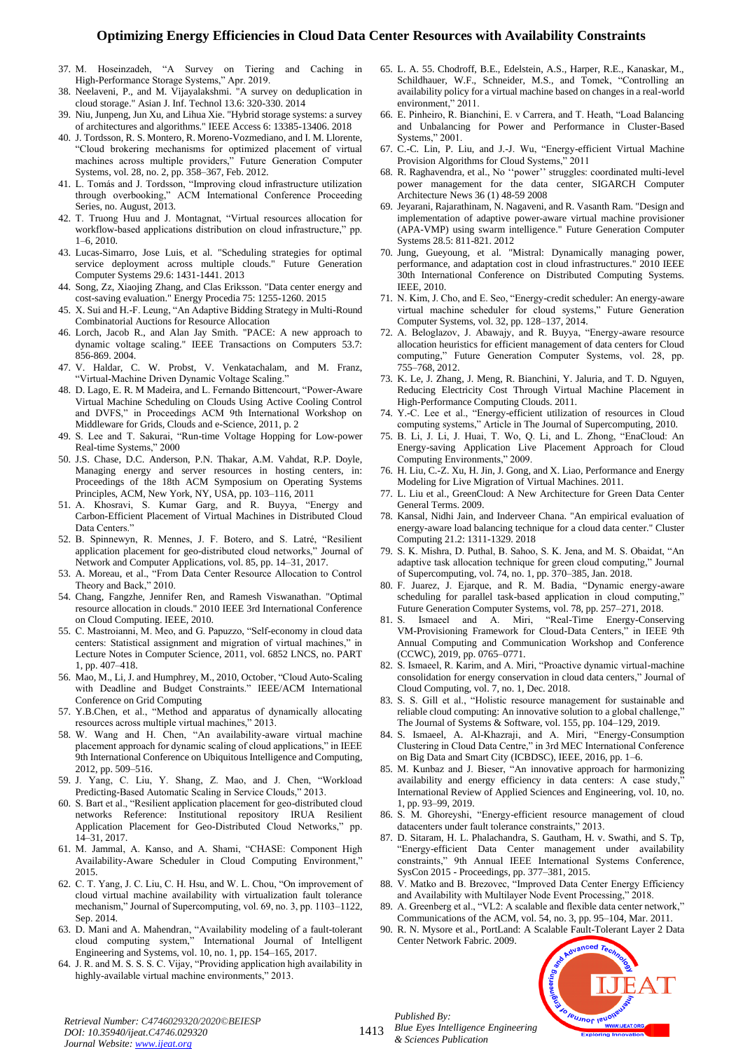- 37. M. Hoseinzadeh, "A Survey on Tiering and Caching in High-Performance Storage Systems," Apr. 2019.
- 38. Neelaveni, P., and M. Vijayalakshmi. "A survey on deduplication in cloud storage." Asian J. Inf. Technol 13.6: 320-330. 2014
- 39. Niu, Junpeng, Jun Xu, and Lihua Xie. "Hybrid storage systems: a survey of architectures and algorithms." IEEE Access 6: 13385-13406. 2018
- 40. J. Tordsson, R. S. Montero, R. Moreno-Vozmediano, and I. M. Llorente, "Cloud brokering mechanisms for optimized placement of virtual machines across multiple providers," Future Generation Computer Systems, vol. 28, no. 2, pp. 358–367, Feb. 2012.
- 41. L. Tomás and J. Tordsson, "Improving cloud infrastructure utilization through overbooking," ACM International Conference Proceeding Series, no. August, 2013.
- 42. T. Truong Huu and J. Montagnat, "Virtual resources allocation for workflow-based applications distribution on cloud infrastructure," pp. 1–6, 2010.
- 43. Lucas-Simarro, Jose Luis, et al. "Scheduling strategies for optimal service deployment across multiple clouds." Future Generation Computer Systems 29.6: 1431-1441. 2013
- 44. Song, Zz, Xiaojing Zhang, and Clas Eriksson. "Data center energy and cost-saving evaluation." Energy Procedia 75: 1255-1260. 2015
- 45. X. Sui and H.-F. Leung, "An Adaptive Bidding Strategy in Multi-Round Combinatorial Auctions for Resource Allocation
- 46. Lorch, Jacob R., and Alan Jay Smith. "PACE: A new approach to dynamic voltage scaling." IEEE Transactions on Computers 53.7: 856-869. 2004.
- 47. V. Haldar, C. W. Probst, V. Venkatachalam, and M. Franz, "Virtual-Machine Driven Dynamic Voltage Scaling."
- 48. D. Lago, E. R. M Madeira, and L. Fernando Bittencourt, "Power-Aware Virtual Machine Scheduling on Clouds Using Active Cooling Control and DVFS," in Proceedings ACM 9th International Workshop on Middleware for Grids, Clouds and e-Science, 2011, p. 2
- 49. S. Lee and T. Sakurai, "Run-time Voltage Hopping for Low-power Real-time Systems," 2000
- 50. J.S. Chase, D.C. Anderson, P.N. Thakar, A.M. Vahdat, R.P. Doyle, Managing energy and server resources in hosting centers, in: Proceedings of the 18th ACM Symposium on Operating Systems Principles, ACM, New York, NY, USA, pp. 103–116, 2011
- 51. A. Khosravi, S. Kumar Garg, and R. Buyya, "Energy and Carbon-Efficient Placement of Virtual Machines in Distributed Cloud Data Centers."
- 52. B. Spinnewyn, R. Mennes, J. F. Botero, and S. Latré, "Resilient application placement for geo-distributed cloud networks," Journal of Network and Computer Applications, vol. 85, pp. 14–31, 2017.
- 53. A. Moreau, et al., "From Data Center Resource Allocation to Control Theory and Back," 2010.
- 54. Chang, Fangzhe, Jennifer Ren, and Ramesh Viswanathan. "Optimal resource allocation in clouds." 2010 IEEE 3rd International Conference on Cloud Computing. IEEE, 2010.
- 55. C. Mastroianni, M. Meo, and G. Papuzzo, "Self-economy in cloud data centers: Statistical assignment and migration of virtual machines," in Lecture Notes in Computer Science, 2011, vol. 6852 LNCS, no. PART 1, pp. 407–418.
- 56. Mao, M., Li, J. and Humphrey, M., 2010, October, "Cloud Auto-Scaling with Deadline and Budget Constraints." IEEE/ACM International Conference on Grid Computing
- 57. Y.B.Chen, et al., "Method and apparatus of dynamically allocating resources across multiple virtual machines," 2013.
- 58. W. Wang and H. Chen, "An availability-aware virtual machine placement approach for dynamic scaling of cloud applications," in IEEE 9th International Conference on Ubiquitous Intelligence and Computing, 2012, pp. 509–516.
- 59. J. Yang, C. Liu, Y. Shang, Z. Mao, and J. Chen, "Workload Predicting-Based Automatic Scaling in Service Clouds," 2013.
- 60. S. Bart et al., "Resilient application placement for geo-distributed cloud networks Reference: Institutional repository IRUA Resilient Application Placement for Geo-Distributed Cloud Networks," pp. 14–31, 2017.
- 61. M. Jammal, A. Kanso, and A. Shami, "CHASE: Component High Availability-Aware Scheduler in Cloud Computing Environment,' 2015.
- 62. C. T. Yang, J. C. Liu, C. H. Hsu, and W. L. Chou, "On improvement of cloud virtual machine availability with virtualization fault tolerance mechanism," Journal of Supercomputing, vol. 69, no. 3, pp. 1103–1122, Sep. 2014.
- 63. D. Mani and A. Mahendran, "Availability modeling of a fault-tolerant cloud computing system," International Journal of Intelligent Engineering and Systems, vol. 10, no. 1, pp. 154–165, 2017.
- 64. J. R. and M. S. S. S. C. Vijay, "Providing application high availability in highly-available virtual machine environments," 2013.
- 65. L. A. 55. Chodroff, B.E., Edelstein, A.S., Harper, R.E., Kanaskar, M., Schildhauer, W.F., Schneider, M.S., and Tomek, "Controlling an availability policy for a virtual machine based on changes in a real-world environment," 2011.
- 66. E. Pinheiro, R. Bianchini, E. v Carrera, and T. Heath, "Load Balancing and Unbalancing for Power and Performance in Cluster-Based Systems," 2001.
- 67. C.-C. Lin, P. Liu, and J.-J. Wu, "Energy-efficient Virtual Machine Provision Algorithms for Cloud Systems," 2011
- 68. R. Raghavendra, et al., No ''power'' struggles: coordinated multi-level power management for the data center, SIGARCH Computer Architecture News 36 (1) 48-59 2008
- 69. Jeyarani, Rajarathinam, N. Nagaveni, and R. Vasanth Ram. "Design and implementation of adaptive power-aware virtual machine provisioner (APA-VMP) using swarm intelligence." Future Generation Computer Systems 28.5: 811-821. 2012
- 70. Jung, Gueyoung, et al. "Mistral: Dynamically managing power, performance, and adaptation cost in cloud infrastructures." 2010 IEEE 30th International Conference on Distributed Computing Systems. IEEE, 2010.
- 71. N. Kim, J. Cho, and E. Seo, "Energy-credit scheduler: An energy-aware virtual machine scheduler for cloud systems," Future Generation Computer Systems, vol. 32, pp. 128–137, 2014.
- 72. A. Beloglazov, J. Abawajy, and R. Buyya, "Energy-aware resource allocation heuristics for efficient management of data centers for Cloud computing," Future Generation Computer Systems, vol. 28, pp. 755–768, 2012.
- 73. K. Le, J. Zhang, J. Meng, R. Bianchini, Y. Jaluria, and T. D. Nguyen, Reducing Electricity Cost Through Virtual Machine Placement in High-Performance Computing Clouds. 2011.
- 74. Y.-C. Lee et al., "Energy-efficient utilization of resources in Cloud computing systems," Article in The Journal of Supercomputing, 2010.
- 75. B. Li, J. Li, J. Huai, T. Wo, Q. Li, and L. Zhong, "EnaCloud: An Energy-saving Application Live Placement Approach for Cloud Computing Environments," 2009.
- 76. H. Liu, C.-Z. Xu, H. Jin, J. Gong, and X. Liao, Performance and Energy Modeling for Live Migration of Virtual Machines. 2011.
- 77. L. Liu et al., GreenCloud: A New Architecture for Green Data Center General Terms. 2009.
- 78. Kansal, Nidhi Jain, and Inderveer Chana. "An empirical evaluation of energy-aware load balancing technique for a cloud data center." Cluster Computing 21.2: 1311-1329. 2018
- 79. S. K. Mishra, D. Puthal, B. Sahoo, S. K. Jena, and M. S. Obaidat, "An adaptive task allocation technique for green cloud computing," Journal of Supercomputing, vol. 74, no. 1, pp. 370–385, Jan. 2018.
- 80. F. Juarez, J. Ejarque, and R. M. Badia, "Dynamic energy-aware scheduling for parallel task-based application in cloud computing," Future Generation Computer Systems, vol. 78, pp. 257–271, 2018.
- 81. S. Ismaeel and A. Miri, "Real-Time Energy-Conserving VM-Provisioning Framework for Cloud-Data Centers," in IEEE 9th Annual Computing and Communication Workshop and Conference (CCWC), 2019, pp. 0765–0771.
- 82. S. Ismaeel, R. Karim, and A. Miri, "Proactive dynamic virtual-machine consolidation for energy conservation in cloud data centers," Journal of Cloud Computing, vol. 7, no. 1, Dec. 2018.
- 83. S. S. Gill et al., "Holistic resource management for sustainable and reliable cloud computing: An innovative solution to a global challenge," The Journal of Systems & Software, vol. 155, pp. 104–129, 2019.
- 84. S. Ismaeel, A. Al-Khazraji, and A. Miri, "Energy-Consumption Clustering in Cloud Data Centre," in 3rd MEC International Conference on Big Data and Smart City (ICBDSC), IEEE, 2016, pp. 1–6.
- 85. M. Kunbaz and J. Bieser, "An innovative approach for harmonizing availability and energy efficiency in data centers: A case study," International Review of Applied Sciences and Engineering, vol. 10, no. 1, pp. 93–99, 2019.
- 86. S. M. Ghoreyshi, "Energy-efficient resource management of cloud datacenters under fault tolerance constraints," 2013.
- 87. D. Sitaram, H. L. Phalachandra, S. Gautham, H. v. Swathi, and S. Tp, "Energy-efficient Data Center management under availability constraints," 9th Annual IEEE International Systems Conference, SysCon 2015 - Proceedings, pp. 377–381, 2015.
- 88. V. Matko and B. Brezovec, "Improved Data Center Energy Efficiency and Availability with Multilayer Node Event Processing," 2018.
- 89. A. Greenberg et al., "VL2: A scalable and flexible data center network," Communications of the ACM, vol. 54, no. 3, pp. 95–104, Mar. 2011.
- 90. R. N. Mysore et al., PortLand: A Scalable Fault-Tolerant Layer 2 Data Center Network Fabric. 2009.



*Retrieval Number: C4746029320/2020©BEIESP DOI: 10.35940/ijeat.C4746.029320 Journal Website[: www.ijeat.org](http://www.ijeat.org/)*

1413

*Published By:*

*Blue Eyes Intelligence Engineering & Sciences Publication*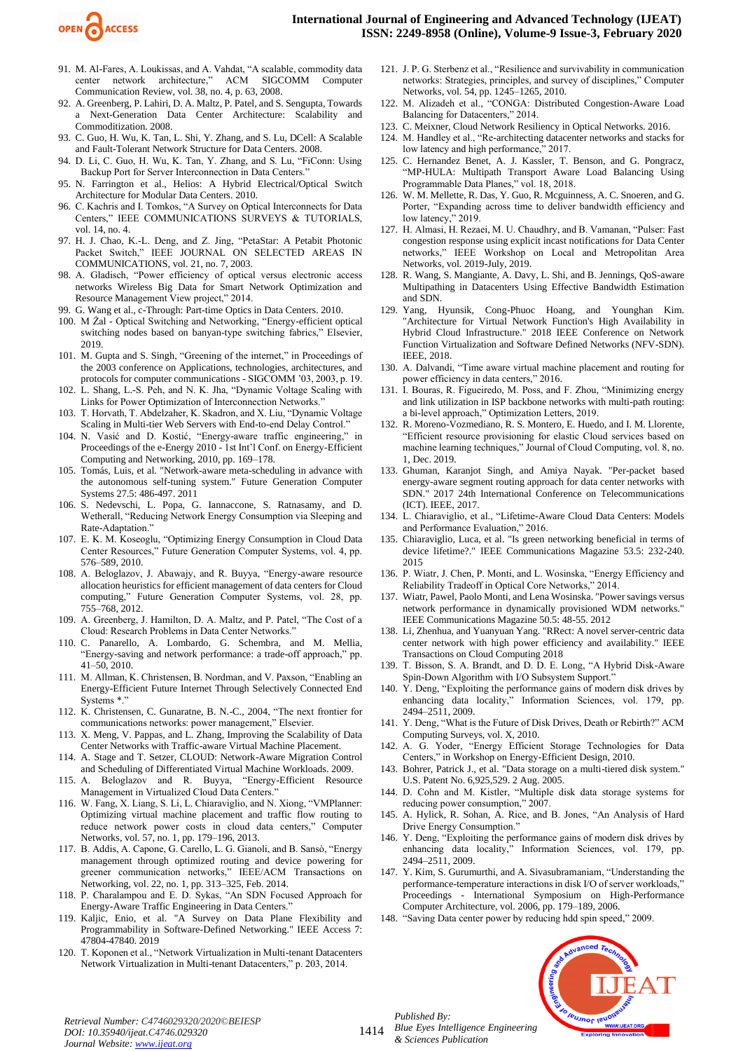

- 91. M. Al-Fares, A. Loukissas, and A. Vahdat, "A scalable, commodity data center network architecture," ACM SIGCOMM Computer Communication Review, vol. 38, no. 4, p. 63, 2008.
- 92. A. Greenberg, P. Lahiri, D. A. Maltz, P. Patel, and S. Sengupta, Towards a Next-Generation Data Center Architecture: Scalability and Commoditization. 2008.
- 93. C. Guo, H. Wu, K. Tan, L. Shi, Y. Zhang, and S. Lu, DCell: A Scalable and Fault-Tolerant Network Structure for Data Centers. 2008.
- 94. D. Li, C. Guo, H. Wu, K. Tan, Y. Zhang, and S. Lu, "FiConn: Using Backup Port for Server Interconnection in Data Centers."
- 95. N. Farrington et al., Helios: A Hybrid Electrical/Optical Switch Architecture for Modular Data Centers. 2010.
- 96. C. Kachris and I. Tomkos, "A Survey on Optical Interconnects for Data Centers," IEEE COMMUNICATIONS SURVEYS & TUTORIALS, vol. 14, no. 4.
- 97. H. J. Chao, K.-L. Deng, and Z. Jing, "PetaStar: A Petabit Photonic Packet Switch," IEEE JOURNAL ON SELECTED AREAS IN COMMUNICATIONS, vol. 21, no. 7, 2003.
- 98. A. Gladisch, "Power efficiency of optical versus electronic access networks Wireless Big Data for Smart Network Optimization and Resource Management View project," 2014.
- 99. G. Wang et al., c-Through: Part-time Optics in Data Centers. 2010.
- 100. M Żal Optical Switching and Networking, "Energy-efficient optical switching nodes based on banyan-type switching fabrics," Elsevier, 2019.
- 101. M. Gupta and S. Singh, "Greening of the internet," in Proceedings of the 2003 conference on Applications, technologies, architectures, and protocols for computer communications - SIGCOMM '03, 2003, p. 19.
- 102. L. Shang, L.-S. Peh, and N. K. Jha, "Dynamic Voltage Scaling with Links for Power Optimization of Interconnection Networks."
- 103. T. Horvath, T. Abdelzaher, K. Skadron, and X. Liu, "Dynamic Voltage Scaling in Multi-tier Web Servers with End-to-end Delay Control."
- 104. N. Vasić and D. Kostić, "Energy-aware traffic engineering," in Proceedings of the e-Energy 2010 - 1st Int'l Conf. on Energy-Efficient Computing and Networking, 2010, pp. 169–178.
- 105. Tomás, Luis, et al. "Network-aware meta-scheduling in advance with the autonomous self-tuning system." Future Generation Computer Systems 27.5: 486-497. 2011
- 106. S. Nedevschi, L. Popa, G. Iannaccone, S. Ratnasamy, and D. Wetherall, "Reducing Network Energy Consumption via Sleeping and Rate-Adaptation."
- 107. E. K. M. Koseoglu, "Optimizing Energy Consumption in Cloud Data Center Resources," Future Generation Computer Systems, vol. 4, pp. 576–589, 2010.
- 108. A. Beloglazov, J. Abawajy, and R. Buyya, "Energy-aware resource allocation heuristics for efficient management of data centers for Cloud computing," Future Generation Computer Systems, vol. 28, pp. 755–768, 2012.
- 109. A. Greenberg, J. Hamilton, D. A. Maltz, and P. Patel, "The Cost of a Cloud: Research Problems in Data Center Networks."
- 110. C. Panarello, A. Lombardo, G. Schembra, and M. Mellia, "Energy-saving and network performance: a trade-off approach," pp. 41–50, 2010.
- 111. M. Allman, K. Christensen, B. Nordman, and V. Paxson, "Enabling an Energy-Efficient Future Internet Through Selectively Connected End Systems \*.
- 112. K. Christensen, C. Gunaratne, B. N.-C., 2004, "The next frontier for communications networks: power management," Elsevier.
- 113. X. Meng, V. Pappas, and L. Zhang, Improving the Scalability of Data Center Networks with Traffic-aware Virtual Machine Placement.
- 114. A. Stage and T. Setzer, CLOUD: Network-Aware Migration Control and Scheduling of Differentiated Virtual Machine Workloads. 2009.
- 115. A. Beloglazov and R. Buyya, "Energy-Efficient Resource Management in Virtualized Cloud Data Centers."
- 116. W. Fang, X. Liang, S. Li, L. Chiaraviglio, and N. Xiong, "VMPlanner: Optimizing virtual machine placement and traffic flow routing to reduce network power costs in cloud data centers," Computer Networks, vol. 57, no. 1, pp. 179–196, 2013.
- 117. B. Addis, A. Capone, G. Carello, L. G. Gianoli, and B. Sansò, "Energy management through optimized routing and device powering for greener communication networks," IEEE/ACM Transactions on Networking, vol. 22, no. 1, pp. 313–325, Feb. 2014.
- 118. P. Charalampou and E. D. Sykas, "An SDN Focused Approach for Energy-Aware Traffic Engineering in Data Centers."
- 119. Kaljic, Enio, et al. "A Survey on Data Plane Flexibility and Programmability in Software-Defined Networking." IEEE Access 7: 47804-47840. 2019
- 120. T. Koponen et al., "Network Virtualization in Multi-tenant Datacenters Network Virtualization in Multi-tenant Datacenters," p. 203, 2014.
- 121. J. P. G. Sterbenz et al., "Resilience and survivability in communication networks: Strategies, principles, and survey of disciplines," Computer Networks, vol. 54, pp. 1245–1265, 2010.
- 122. M. Alizadeh et al., "CONGA: Distributed Congestion-Aware Load Balancing for Datacenters," 2014.
- 123. C. Meixner, Cloud Network Resiliency in Optical Networks. 2016.
- 124. M. Handley et al., "Re-architecting datacenter networks and stacks for low latency and high performance," 2017.
- 125. C. Hernandez Benet, A. J. Kassler, T. Benson, and G. Pongracz, "MP-HULA: Multipath Transport Aware Load Balancing Using Programmable Data Planes," vol. 18, 2018.
- 126. W. M. Mellette, R. Das, Y. Guo, R. Mcguinness, A. C. Snoeren, and G. Porter, "Expanding across time to deliver bandwidth efficiency and low latency," 2019.
- 127. H. Almasi, H. Rezaei, M. U. Chaudhry, and B. Vamanan, "Pulser: Fast congestion response using explicit incast notifications for Data Center networks," IEEE Workshop on Local and Metropolitan Area Networks, vol. 2019-July, 2019.
- 128. R. Wang, S. Mangiante, A. Davy, L. Shi, and B. Jennings, QoS-aware Multipathing in Datacenters Using Effective Bandwidth Estimation and SDN.
- 129. Yang, Hyunsik, Cong-Phuoc Hoang, and Younghan Kim. 'Architecture for Virtual Network Function's High Availability in Hybrid Cloud Infrastructure." 2018 IEEE Conference on Network Function Virtualization and Software Defined Networks (NFV-SDN). IEEE, 2018.
- 130. A. Dalvandi, "Time aware virtual machine placement and routing for power efficiency in data centers," 2016.
- 131. I. Bouras, R. Figueiredo, M. Poss, and F. Zhou, "Minimizing energy and link utilization in ISP backbone networks with multi-path routing: a bi-level approach," Optimization Letters, 2019.
- 132. R. Moreno-Vozmediano, R. S. Montero, E. Huedo, and I. M. Llorente, "Efficient resource provisioning for elastic Cloud services based on machine learning techniques," Journal of Cloud Computing, vol. 8, no. 1, Dec. 2019.
- 133. Ghuman, Karanjot Singh, and Amiya Nayak. "Per-packet based energy-aware segment routing approach for data center networks with SDN." 2017 24th International Conference on Telecommunications (ICT). IEEE, 2017.
- 134. L. Chiaraviglio, et al., "Lifetime-Aware Cloud Data Centers: Models and Performance Evaluation," 2016.
- 135. Chiaraviglio, Luca, et al. "Is green networking beneficial in terms of device lifetime?." IEEE Communications Magazine 53.5: 232-240. 2015
- 136. P. Wiatr, J. Chen, P. Monti, and L. Wosinska, "Energy Efficiency and Reliability Tradeoff in Optical Core Networks," 2014.
- 137. Wiatr, Pawel, Paolo Monti, and Lena Wosinska. "Power savings versus network performance in dynamically provisioned WDM networks." IEEE Communications Magazine 50.5: 48-55. 2012
- 138. Li, Zhenhua, and Yuanyuan Yang. "RRect: A novel server-centric data center network with high power efficiency and availability." IEEE Transactions on Cloud Computing 2018
- 139. T. Bisson, S. A. Brandt, and D. D. E. Long, "A Hybrid Disk-Aware Spin-Down Algorithm with I/O Subsystem Support.<sup>1</sup>
- 140. Y. Deng, "Exploiting the performance gains of modern disk drives by enhancing data locality," Information Sciences, vol. 179, pp. 2494–2511, 2009.
- 141. Y. Deng, "What is the Future of Disk Drives, Death or Rebirth?" ACM Computing Surveys, vol. X, 2010.
- 142. A. G. Yoder, "Energy Efficient Storage Technologies for Data Centers," in Workshop on Energy-Efficient Design, 2010.
- 143. Bohrer, Patrick J., et al. "Data storage on a multi-tiered disk system." U.S. Patent No. 6,925,529. 2 Aug. 2005.
- 144. D. Cohn and M. Kistler, "Multiple disk data storage systems for reducing power consumption," 2007.
- 145. A. Hylick, R. Sohan, A. Rice, and B. Jones, "An Analysis of Hard Drive Energy Consumption."
- 146. Y. Deng, "Exploiting the performance gains of modern disk drives by enhancing data locality," Information Sciences, vol. 179, pp. 2494–2511, 2009.
- 147. Y. Kim, S. Gurumurthi, and A. Sivasubramaniam, "Understanding the performance-temperature interactions in disk I/O of server workloads," Proceedings - International Symposium on High-Performance Computer Architecture, vol. 2006, pp. 179–189, 2006.
- 148. "Saving Data center power by reducing hdd spin speed," 2009.



*Retrieval Number: C4746029320/2020©BEIESP DOI: 10.35940/ijeat.C4746.029320 Journal Website[: www.ijeat.org](http://www.ijeat.org/)*

1414 *Blue Eyes Intelligence Engineering & Sciences Publication* 

*Published By:*